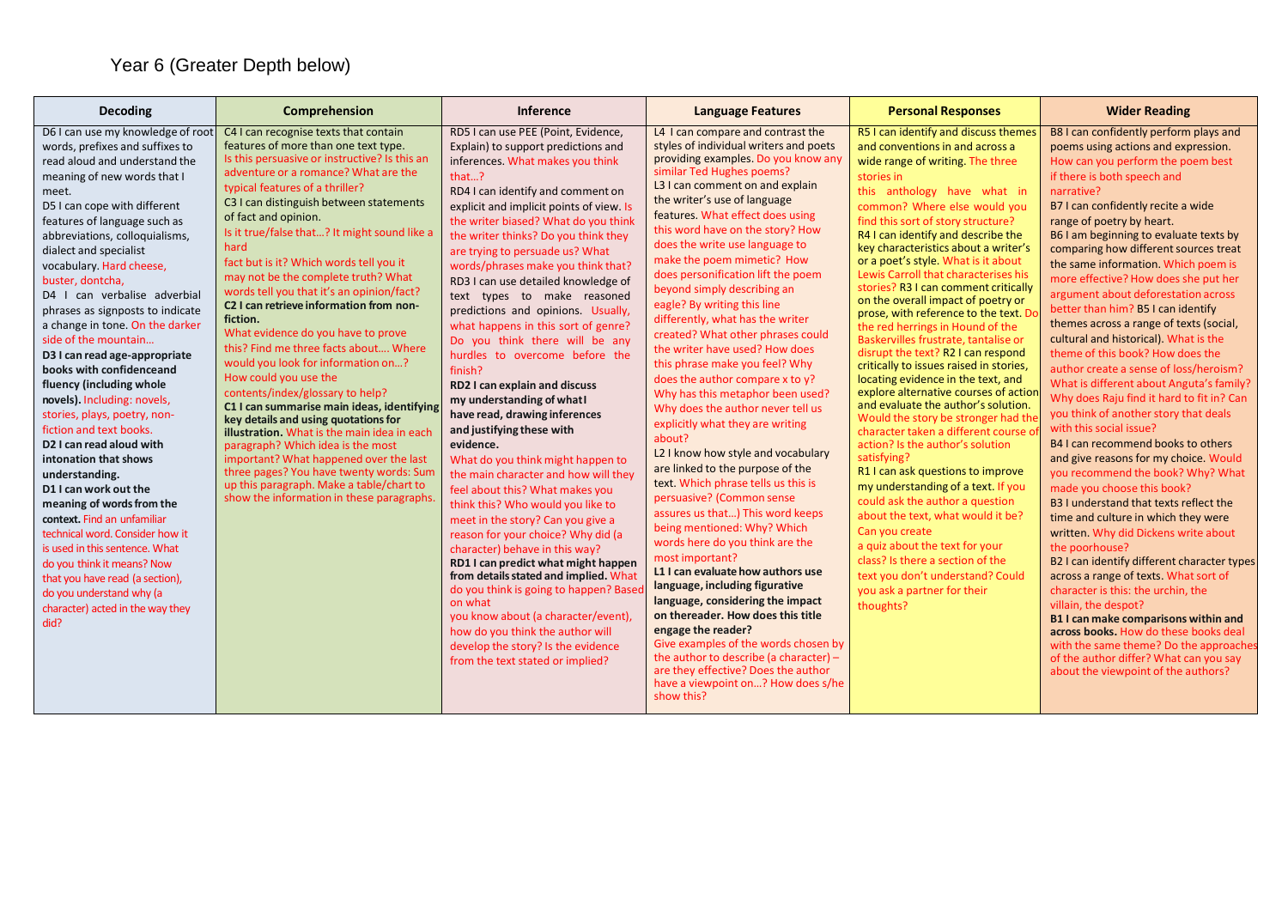| Decoding                                                                                                                                                                                                                                                                                                                                                                                                                                                                                                                                                                                                                                                                                                                                                                                                                                                                                                                                                                                                                          | Comprehension                                                                                                                                                                                                                                                                                                                                                                                                                                                                                                                                                                                                                                                                                                                                                                                                                                                                                                                                                                                                                                                              | Inference                                                                                                                                                                                                                                                                                                                                                                                                                                                                                                                                                                                                                                                                                                                                                                                                                                                                                                                                                                                                                                                                                                                                                                                                                                                                                                | <b>Language Features</b>                                                                                                                                                                                                                                                                                                                                                                                                                                                                                                                                                                                                                                                                                                                                                                                                                                                                                                                                                                                                                                                                                                                                                                                                                                                                                                                                                                             | <b>Personal Responses</b>                                                                                                                                                                                                                                                                                                                                                                                                                                                                                                                                                                                                                                                                                                                                                                                                                                                                                                                                                                                                                                                                                                                                                                                                                                         | <b>Wider Reading</b>                                                                                                                                                                                                                                                                                                                                                                                                                                                                                                                                                                                                                                                                                                                                                                                                                                                                                                                                                                                                                                                                                                                                                                                                                                                                                                                                                                                                                                                            |
|-----------------------------------------------------------------------------------------------------------------------------------------------------------------------------------------------------------------------------------------------------------------------------------------------------------------------------------------------------------------------------------------------------------------------------------------------------------------------------------------------------------------------------------------------------------------------------------------------------------------------------------------------------------------------------------------------------------------------------------------------------------------------------------------------------------------------------------------------------------------------------------------------------------------------------------------------------------------------------------------------------------------------------------|----------------------------------------------------------------------------------------------------------------------------------------------------------------------------------------------------------------------------------------------------------------------------------------------------------------------------------------------------------------------------------------------------------------------------------------------------------------------------------------------------------------------------------------------------------------------------------------------------------------------------------------------------------------------------------------------------------------------------------------------------------------------------------------------------------------------------------------------------------------------------------------------------------------------------------------------------------------------------------------------------------------------------------------------------------------------------|----------------------------------------------------------------------------------------------------------------------------------------------------------------------------------------------------------------------------------------------------------------------------------------------------------------------------------------------------------------------------------------------------------------------------------------------------------------------------------------------------------------------------------------------------------------------------------------------------------------------------------------------------------------------------------------------------------------------------------------------------------------------------------------------------------------------------------------------------------------------------------------------------------------------------------------------------------------------------------------------------------------------------------------------------------------------------------------------------------------------------------------------------------------------------------------------------------------------------------------------------------------------------------------------------------|------------------------------------------------------------------------------------------------------------------------------------------------------------------------------------------------------------------------------------------------------------------------------------------------------------------------------------------------------------------------------------------------------------------------------------------------------------------------------------------------------------------------------------------------------------------------------------------------------------------------------------------------------------------------------------------------------------------------------------------------------------------------------------------------------------------------------------------------------------------------------------------------------------------------------------------------------------------------------------------------------------------------------------------------------------------------------------------------------------------------------------------------------------------------------------------------------------------------------------------------------------------------------------------------------------------------------------------------------------------------------------------------------|-------------------------------------------------------------------------------------------------------------------------------------------------------------------------------------------------------------------------------------------------------------------------------------------------------------------------------------------------------------------------------------------------------------------------------------------------------------------------------------------------------------------------------------------------------------------------------------------------------------------------------------------------------------------------------------------------------------------------------------------------------------------------------------------------------------------------------------------------------------------------------------------------------------------------------------------------------------------------------------------------------------------------------------------------------------------------------------------------------------------------------------------------------------------------------------------------------------------------------------------------------------------|---------------------------------------------------------------------------------------------------------------------------------------------------------------------------------------------------------------------------------------------------------------------------------------------------------------------------------------------------------------------------------------------------------------------------------------------------------------------------------------------------------------------------------------------------------------------------------------------------------------------------------------------------------------------------------------------------------------------------------------------------------------------------------------------------------------------------------------------------------------------------------------------------------------------------------------------------------------------------------------------------------------------------------------------------------------------------------------------------------------------------------------------------------------------------------------------------------------------------------------------------------------------------------------------------------------------------------------------------------------------------------------------------------------------------------------------------------------------------------|
| D6 I can use my knowledge of root<br>words, prefixes and suffixes to<br>read aloud and understand the<br>meaning of new words that I<br>meet.<br>D5 I can cope with different<br>features of language such as<br>abbreviations, colloquialisms,<br>dialect and specialist<br>vocabulary. Hard cheese,<br>buster, dontcha,<br>D4 I can verbalise adverbial<br>phrases as signposts to indicate<br>a change in tone. On the darker<br>side of the mountain<br>D3 I can read age-appropriate<br>books with confidenceand<br>fluency (including whole<br>novels). Including: novels,<br>stories, plays, poetry, non-<br>fiction and text books.<br>D <sub>2</sub> I can read aloud with<br>intonation that shows<br>understanding.<br>D1 I can work out the<br>meaning of words from the<br>context. Find an unfamiliar<br>technical word. Consider how it<br>is used in this sentence. What<br>do you think it means? Now<br>that you have read (a section),<br>do you understand why (a<br>character) acted in the way they<br>did? | C4 I can recognise texts that contain<br>features of more than one text type.<br>Is this persuasive or instructive? Is this an<br>adventure or a romance? What are the<br>typical features of a thriller?<br>C3 I can distinguish between statements<br>of fact and opinion.<br>Is it true/false that? It might sound like a<br>hard<br>fact but is it? Which words tell you it<br>may not be the complete truth? What<br>words tell you that it's an opinion/fact?<br>C2 I can retrieve information from non-<br>fiction.<br>What evidence do you have to prove<br>this? Find me three facts about Where<br>would you look for information on?<br>How could you use the<br>contents/index/glossary to help?<br>C1 I can summarise main ideas, identifying<br>key details and using quotations for<br><b>illustration.</b> What is the main idea in each<br>paragraph? Which idea is the most<br>important? What happened over the last<br>three pages? You have twenty words: Sum<br>up this paragraph. Make a table/chart to<br>show the information in these paragraphs | RD5 I can use PEE (Point, Evidence,<br>Explain) to support predictions and<br>inferences. What makes you think<br>that?<br>RD4 I can identify and comment on<br>explicit and implicit points of view. Is<br>the writer biased? What do you think<br>the writer thinks? Do you think they<br>are trying to persuade us? What<br>words/phrases make you think that?<br>RD3 I can use detailed knowledge of<br>text types to make reasoned<br>predictions and opinions. Usually,<br>what happens in this sort of genre?<br>Do you think there will be any<br>hurdles to overcome before the<br>finish?<br>RD2 I can explain and discuss<br>my understanding of what I<br>have read, drawing inferences<br>and justifying these with<br>evidence.<br>What do you think might happen to<br>the main character and how will they<br>feel about this? What makes you<br>think this? Who would you like to<br>meet in the story? Can you give a<br>reason for your choice? Why did (a<br>character) behave in this way?<br>RD1 I can predict what might happen<br>from details stated and implied. What<br>do you think is going to happen? Base<br>on what<br>you know about (a character/event),<br>how do you think the author will<br>develop the story? Is the evidence<br>from the text stated or implied? | L4 I can compare and contrast the<br>styles of individual writers and poets<br>providing examples. Do you know any<br>similar Ted Hughes poems?<br>L3 I can comment on and explain<br>the writer's use of language<br>features. What effect does using<br>this word have on the story? How<br>does the write use language to<br>make the poem mimetic? How<br>does personification lift the poem<br>beyond simply describing an<br>eagle? By writing this line<br>differently, what has the writer<br>created? What other phrases could<br>the writer have used? How does<br>this phrase make you feel? Why<br>does the author compare x to $y$ ?<br>Why has this metaphor been used?<br>Why does the author never tell us<br>explicitly what they are writing<br>about?<br>L2 I know how style and vocabulary<br>are linked to the purpose of the<br>text. Which phrase tells us this is<br>persuasive? (Common sense<br>assures us that) This word keeps<br>being mentioned: Why? Which<br>words here do you think are the<br>most important?<br>L1 I can evaluate how authors use<br>language, including figurative<br>language, considering the impact<br>on thereader. How does this title<br>engage the reader?<br>Give examples of the words chosen by<br>the author to describe (a character) $-$<br>are they effective? Does the author<br>have a viewpoint on? How does s/he<br>show this? | R5 I can identify and discuss themes<br>and conventions in and across a<br>wide range of writing. The three<br>stories in<br>this anthology have what in<br>common? Where else would you<br>find this sort of story structure?<br>R4 I can identify and describe the<br>key characteristics about a writer's<br>or a poet's style. What is it about<br>Lewis Carroll that characterises his<br>stories? R3 I can comment critically<br>on the overall impact of poetry or<br>prose, with reference to the text. Do<br>the red herrings in Hound of the<br>Baskervilles frustrate, tantalise or<br>disrupt the text? R2 I can respond<br>critically to issues raised in stories,<br>locating evidence in the text, and<br>explore alternative courses of action<br>and evaluate the author's solution.<br>Would the story be stronger had th<br>character taken a different course o<br>action? Is the author's solution<br>satisfying?<br>R1 I can ask questions to improve<br>my understanding of a text. If you<br>could ask the author a question<br>about the text, what would it be?<br>Can you create<br>a quiz about the text for your<br>class? Is there a section of the<br>text you don't understand? Could<br>you ask a partner for their<br>thoughts? | B8 I can confidently perform plays and<br>poems using actions and expression.<br>How can you perform the poem best<br>if there is both speech and<br>narrative?<br>B7 I can confidently recite a wide<br>range of poetry by heart.<br>B6 I am beginning to evaluate texts by<br>comparing how different sources treat<br>the same information. Which poem is<br>more effective? How does she put her<br>argument about deforestation across<br>better than him? B5 I can identify<br>themes across a range of texts (social,<br>cultural and historical). What is the<br>theme of this book? How does the<br>author create a sense of loss/heroism?<br>What is different about Anguta's family?<br>Why does Raju find it hard to fit in? Can<br>you think of another story that deals<br>with this social issue?<br>B4 I can recommend books to others<br>and give reasons for my choice. Would<br>you recommend the book? Why? What<br>made you choose this book?<br>B3 I understand that texts reflect the<br>time and culture in which they were<br>written. Why did Dickens write about<br>the poorhouse?<br>B2 I can identify different character types<br>across a range of texts. What sort of<br>character is this: the urchin, the<br>villain, the despot?<br>B1 I can make comparisons within and<br>across books. How do these books deal<br>with the same theme? Do the approaches<br>of the author differ? What can you say<br>about the viewpoint of the authors? |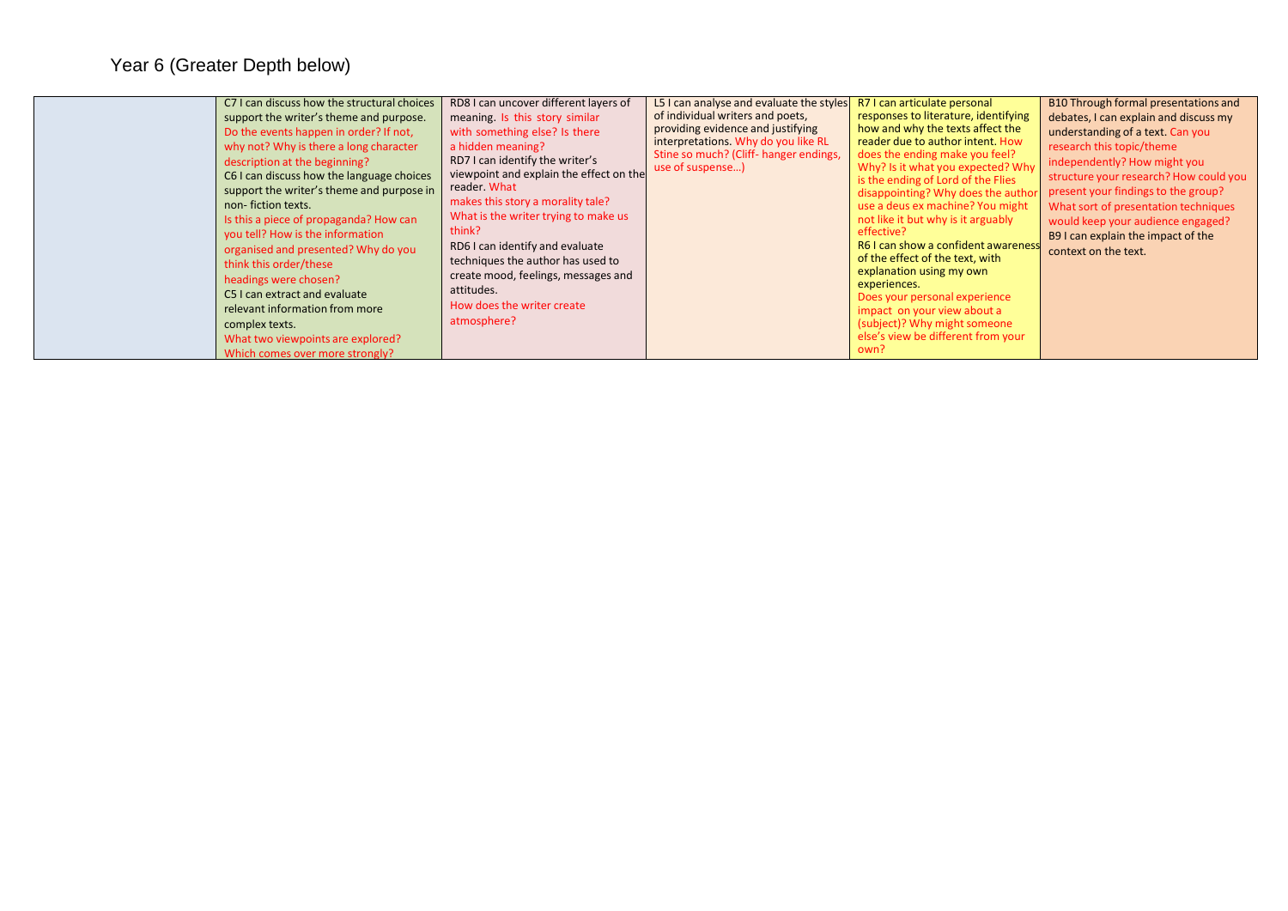| RD8 I can uncover different layers of<br>C7 I can discuss how the structural choices<br>meaning. Is this story similar<br>support the writer's theme and purpose.<br>Do the events happen in order? If not,<br>with something else? Is there<br>why not? Why is there a long character<br>a hidden meaning?<br>RD7 I can identify the writer's<br>description at the beginning?<br>viewpoint and explain the effect on the<br>C6 I can discuss how the language choices<br>reader. What<br>support the writer's theme and purpose in<br>makes this story a morality tale?<br>non-fiction texts.<br>What is the writer trying to make us<br>Is this a piece of propaganda? How can<br>think?<br>you tell? How is the information<br>RD6 I can identify and evaluate<br>organised and presented? Why do you<br>techniques the author has used to<br>think this order/these<br>create mood, feelings, messages and<br>headings were chosen?<br>attitudes.<br>C5 I can extract and evaluate<br>How does the writer create<br>relevant information from more |
|---------------------------------------------------------------------------------------------------------------------------------------------------------------------------------------------------------------------------------------------------------------------------------------------------------------------------------------------------------------------------------------------------------------------------------------------------------------------------------------------------------------------------------------------------------------------------------------------------------------------------------------------------------------------------------------------------------------------------------------------------------------------------------------------------------------------------------------------------------------------------------------------------------------------------------------------------------------------------------------------------------------------------------------------------------|
|---------------------------------------------------------------------------------------------------------------------------------------------------------------------------------------------------------------------------------------------------------------------------------------------------------------------------------------------------------------------------------------------------------------------------------------------------------------------------------------------------------------------------------------------------------------------------------------------------------------------------------------------------------------------------------------------------------------------------------------------------------------------------------------------------------------------------------------------------------------------------------------------------------------------------------------------------------------------------------------------------------------------------------------------------------|